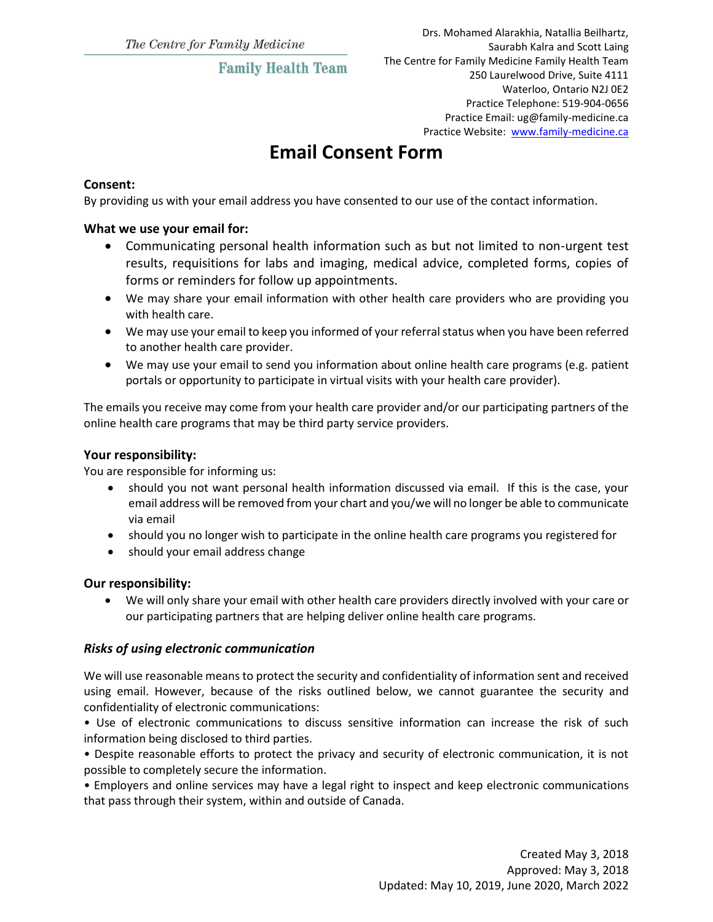# **Family Health Team**

Drs. Mohamed Alarakhia, Natallia Beilhartz, Saurabh Kalra and Scott Laing The Centre for Family Medicine Family Health Team 250 Laurelwood Drive, Suite 4111 Waterloo, Ontario N2J 0E2 Practice Telephone: 519-904-0656 Practice Email: ug@family-medicine.ca Practice Website: [www.family-medicine.ca](http://www.family-medicine.ca/)

# **Email Consent Form**

### **Consent:**

By providing us with your email address you have consented to our use of the contact information.

#### **What we use your email for:**

- Communicating personal health information such as but not limited to non-urgent test results, requisitions for labs and imaging, medical advice, completed forms, copies of forms or reminders for follow up appointments.
- We may share your email information with other health care providers who are providing you with health care.
- We may use your email to keep you informed of your referral status when you have been referred to another health care provider.
- We may use your email to send you information about online health care programs (e.g. patient portals or opportunity to participate in virtual visits with your health care provider).

The emails you receive may come from your health care provider and/or our participating partners of the online health care programs that may be third party service providers.

#### **Your responsibility:**

You are responsible for informing us:

- should you not want personal health information discussed via email. If this is the case, your email address will be removed from your chart and you/we will no longer be able to communicate via email
- should you no longer wish to participate in the online health care programs you registered for
- should your email address change

#### **Our responsibility:**

 We will only share your email with other health care providers directly involved with your care or our participating partners that are helping deliver online health care programs.

### *Risks of using electronic communication*

We will use reasonable means to protect the security and confidentiality of information sent and received using email. However, because of the risks outlined below, we cannot guarantee the security and confidentiality of electronic communications:

• Use of electronic communications to discuss sensitive information can increase the risk of such information being disclosed to third parties.

• Despite reasonable efforts to protect the privacy and security of electronic communication, it is not possible to completely secure the information.

• Employers and online services may have a legal right to inspect and keep electronic communications that pass through their system, within and outside of Canada.